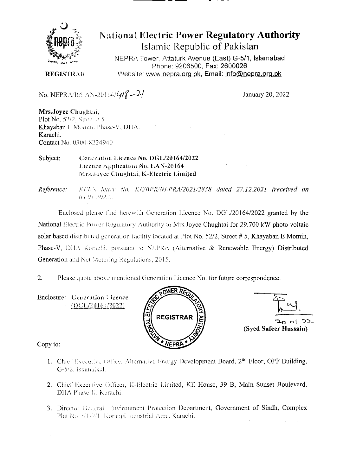

# **National Electric Power Regulatory Authority** Islamic Republic of Pakistan

NEPRA Tower, Attaturk Avenue (East) G-5/1, Islamabad Phone: 9206500, Fax: 2600026 Website: www.nepra.org.pk, Email: info@nepra.org.pk

**REGISTRAR** 

No. NEPRA/R/LAN-20164/ $4/8$ -2/

January 20, 2022

Mrs.Joyce Chughtai, Plot No.  $52/2$ . Street # 5 Khayaban E Momin, Phase-V, DHA. Karachi. Contact No. 0300-8224940

Subject: Generation Licence No. DGL/20164/2022 Licence Application No. LAN-20164 Mrs.Joyce Chughtai, K-Electric Limited

Reference: KEL's letter No. KE/BPR/NEPRA/2021/2838 dated 27.12.2021 (received on  $03.01.2022.$ 

Enclosed please find herewith Generation Licence No. DGL/20164/2022 granted by the National Electric Power Regulatory Authority to Mrs.Joyce Chughtai for 29.700 kW photo voltaic solar based distributed generation facility located at Plot No. 52/2, Street # 5, Khayaban E Momin, Phase-V, DHA Karachi, pursuant to NEPRA (Alternative & Renewable Energy) Distributed Generation and Net Metering Regulations, 2015.

 $2.$ Please quote above mentioned Generation Licence No. for future correspondence.

Enclosure: Generation Licence  $(DGI/20164/2022)$ 





Copy to:

- 1. Chief Executive Office, Alternative Energy Development Board, 2<sup>nd</sup> Floor, OPF Building, G-5/2, Islamabad.
- 2. Chief Executive Officer, K-Electric Limited, KE House, 39 B, Main Sunset Boulevard, DHA Phase-II, Karachi.
- 3. Director General, Environment Protection Department, Government of Sindh, Complex Plot No. ST-2/1. Korangi Industrial Area, Karachi.